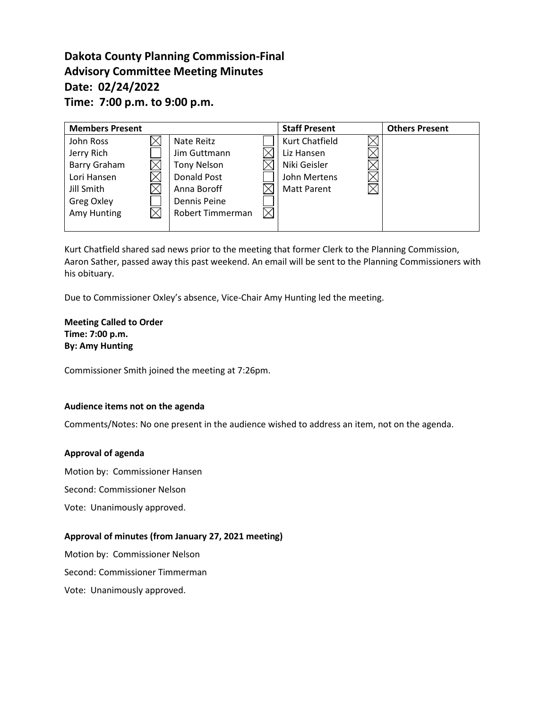# **Dakota County Planning Commission-Final Advisory Committee Meeting Minutes Date: 02/24/2022 Time: 7:00 p.m. to 9:00 p.m.**

| <b>Members Present</b> |                         | <b>Staff Present</b> | <b>Others Present</b> |
|------------------------|-------------------------|----------------------|-----------------------|
| John Ross              | Nate Reitz              | Kurt Chatfield       |                       |
| Jerry Rich             | Jim Guttmann            | Liz Hansen           |                       |
| Barry Graham           | <b>Tony Nelson</b>      | Niki Geisler         |                       |
| Lori Hansen            | Donald Post             | John Mertens         |                       |
| Jill Smith             | Anna Boroff             | <b>Matt Parent</b>   |                       |
| Greg Oxley             | <b>Dennis Peine</b>     |                      |                       |
| Amy Hunting            | <b>Robert Timmerman</b> |                      |                       |
|                        |                         |                      |                       |

Kurt Chatfield shared sad news prior to the meeting that former Clerk to the Planning Commission, Aaron Sather, passed away this past weekend. An email will be sent to the Planning Commissioners with his obituary.

Due to Commissioner Oxley's absence, Vice-Chair Amy Hunting led the meeting.

### **Meeting Called to Order Time: 7:00 p.m. By: Amy Hunting**

Commissioner Smith joined the meeting at 7:26pm.

### **Audience items not on the agenda**

Comments/Notes: No one present in the audience wished to address an item, not on the agenda.

### **Approval of agenda**

Motion by: Commissioner Hansen

Second: Commissioner Nelson

Vote: Unanimously approved.

### **Approval of minutes (from January 27, 2021 meeting)**

Motion by: Commissioner Nelson

Second: Commissioner Timmerman

Vote: Unanimously approved.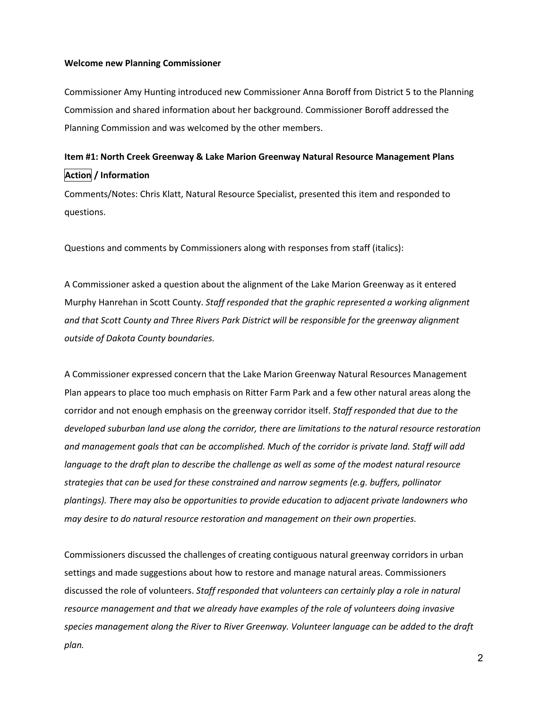#### **Welcome new Planning Commissioner**

Commissioner Amy Hunting introduced new Commissioner Anna Boroff from District 5 to the Planning Commission and shared information about her background. Commissioner Boroff addressed the Planning Commission and was welcomed by the other members.

# **Item #1: North Creek Greenway & Lake Marion Greenway Natural Resource Management Plans Action / Information**

Comments/Notes: Chris Klatt, Natural Resource Specialist, presented this item and responded to questions.

Questions and comments by Commissioners along with responses from staff (italics):

A Commissioner asked a question about the alignment of the Lake Marion Greenway as it entered Murphy Hanrehan in Scott County. *Staff responded that the graphic represented a working alignment and that Scott County and Three Rivers Park District will be responsible for the greenway alignment outside of Dakota County boundaries.*

A Commissioner expressed concern that the Lake Marion Greenway Natural Resources Management Plan appears to place too much emphasis on Ritter Farm Park and a few other natural areas along the corridor and not enough emphasis on the greenway corridor itself. *Staff responded that due to the developed suburban land use along the corridor, there are limitations to the natural resource restoration and management goals that can be accomplished. Much of the corridor is private land. Staff will add language to the draft plan to describe the challenge as well as some of the modest natural resource strategies that can be used for these constrained and narrow segments (e.g. buffers, pollinator plantings). There may also be opportunities to provide education to adjacent private landowners who may desire to do natural resource restoration and management on their own properties.*

Commissioners discussed the challenges of creating contiguous natural greenway corridors in urban settings and made suggestions about how to restore and manage natural areas. Commissioners discussed the role of volunteers. *Staff responded that volunteers can certainly play a role in natural resource management and that we already have examples of the role of volunteers doing invasive species management along the River to River Greenway. Volunteer language can be added to the draft plan.*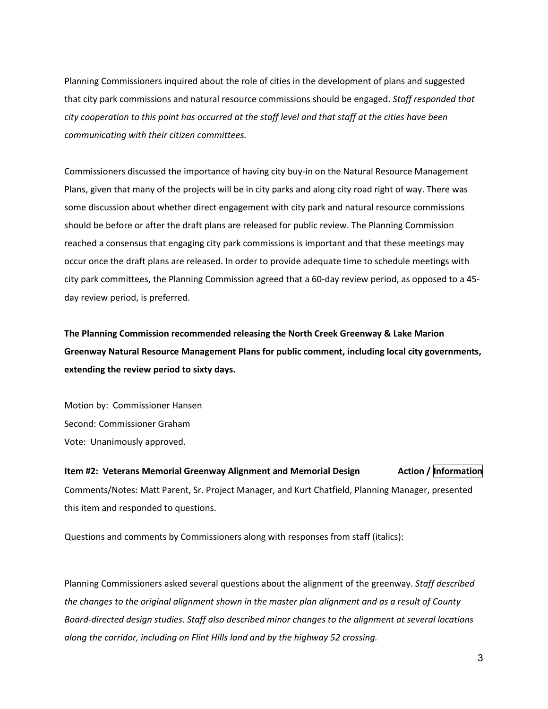Planning Commissioners inquired about the role of cities in the development of plans and suggested that city park commissions and natural resource commissions should be engaged. *Staff responded that city cooperation to this point has occurred at the staff level and that staff at the cities have been communicating with their citizen committees.*

Commissioners discussed the importance of having city buy-in on the Natural Resource Management Plans, given that many of the projects will be in city parks and along city road right of way. There was some discussion about whether direct engagement with city park and natural resource commissions should be before or after the draft plans are released for public review. The Planning Commission reached a consensus that engaging city park commissions is important and that these meetings may occur once the draft plans are released. In order to provide adequate time to schedule meetings with city park committees, the Planning Commission agreed that a 60-day review period, as opposed to a 45 day review period, is preferred.

**The Planning Commission recommended releasing the North Creek Greenway & Lake Marion Greenway Natural Resource Management Plans for public comment, including local city governments, extending the review period to sixty days.**

Motion by: Commissioner Hansen Second: Commissioner Graham Vote: Unanimously approved.

**Item #2: Veterans Memorial Greenway Alignment and Memorial Design Faction / Information** Comments/Notes: Matt Parent, Sr. Project Manager, and Kurt Chatfield, Planning Manager, presented this item and responded to questions.

Questions and comments by Commissioners along with responses from staff (italics):

Planning Commissioners asked several questions about the alignment of the greenway. *Staff described the changes to the original alignment shown in the master plan alignment and as a result of County Board-directed design studies. Staff also described minor changes to the alignment at several locations along the corridor, including on Flint Hills land and by the highway 52 crossing.*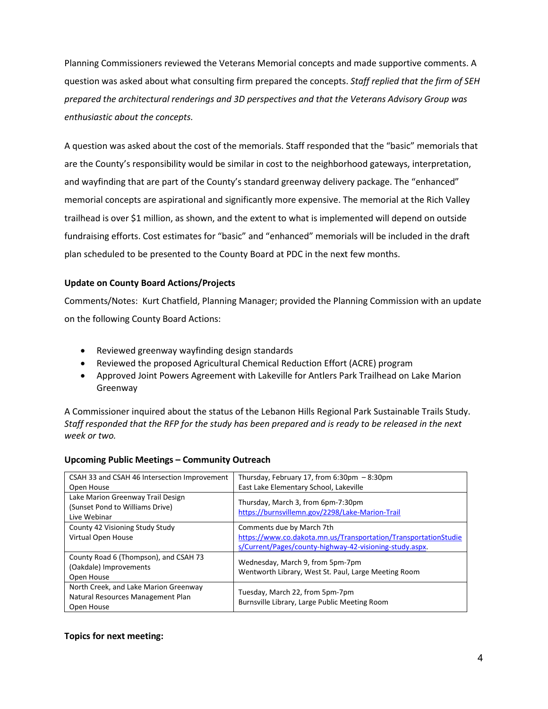Planning Commissioners reviewed the Veterans Memorial concepts and made supportive comments. A question was asked about what consulting firm prepared the concepts. *Staff replied that the firm of SEH prepared the architectural renderings and 3D perspectives and that the Veterans Advisory Group was enthusiastic about the concepts.*

A question was asked about the cost of the memorials. Staff responded that the "basic" memorials that are the County's responsibility would be similar in cost to the neighborhood gateways, interpretation, and wayfinding that are part of the County's standard greenway delivery package. The "enhanced" memorial concepts are aspirational and significantly more expensive. The memorial at the Rich Valley trailhead is over \$1 million, as shown, and the extent to what is implemented will depend on outside fundraising efforts. Cost estimates for "basic" and "enhanced" memorials will be included in the draft plan scheduled to be presented to the County Board at PDC in the next few months.

## **Update on County Board Actions/Projects**

Comments/Notes: Kurt Chatfield, Planning Manager; provided the Planning Commission with an update on the following County Board Actions:

- Reviewed greenway wayfinding design standards
- Reviewed the proposed Agricultural Chemical Reduction Effort (ACRE) program
- Approved Joint Powers Agreement with Lakeville for Antlers Park Trailhead on Lake Marion Greenway

A Commissioner inquired about the status of the Lebanon Hills Regional Park Sustainable Trails Study. *Staff responded that the RFP for the study has been prepared and is ready to be released in the next week or two.*

| CSAH 33 and CSAH 46 Intersection Improvement                                             | Thursday, February 17, from $6:30 \text{pm} - 8:30 \text{pm}$                            |
|------------------------------------------------------------------------------------------|------------------------------------------------------------------------------------------|
| Open House                                                                               | East Lake Elementary School, Lakeville                                                   |
| Lake Marion Greenway Trail Design<br>(Sunset Pond to Williams Drive)<br>Live Webinar     | Thursday, March 3, from 6pm-7:30pm<br>https://burnsvillemn.gov/2298/Lake-Marion-Trail    |
| County 42 Visioning Study Study                                                          | Comments due by March 7th                                                                |
| Virtual Open House                                                                       | https://www.co.dakota.mn.us/Transportation/TransportationStudie                          |
|                                                                                          | s/Current/Pages/county-highway-42-visioning-study.aspx.                                  |
| County Road 6 (Thompson), and CSAH 73<br>(Oakdale) Improvements<br>Open House            | Wednesday, March 9, from 5pm-7pm<br>Wentworth Library, West St. Paul, Large Meeting Room |
| North Creek, and Lake Marion Greenway<br>Natural Resources Management Plan<br>Open House | Tuesday, March 22, from 5pm-7pm<br>Burnsville Library, Large Public Meeting Room         |

### **Upcoming Public Meetings – Community Outreach**

### **Topics for next meeting:**